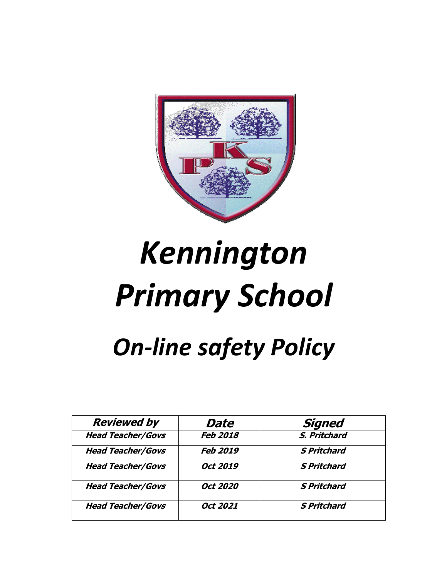

# *Kennington Primary School*

# *On-line safety Policy*

| <b>Reviewed by</b>       | Date            | <b>Signed</b>      |
|--------------------------|-----------------|--------------------|
| <b>Head Teacher/Govs</b> | <b>Feb 2018</b> | S. Pritchard       |
| <b>Head Teacher/Govs</b> | <b>Feb 2019</b> | <b>S Pritchard</b> |
| <b>Head Teacher/Govs</b> | Oct 2019        | <b>S Pritchard</b> |
| <b>Head Teacher/Govs</b> | Oct 2020        | <b>S Pritchard</b> |
| <b>Head Teacher/Govs</b> | Oct 2021        | <b>S Pritchard</b> |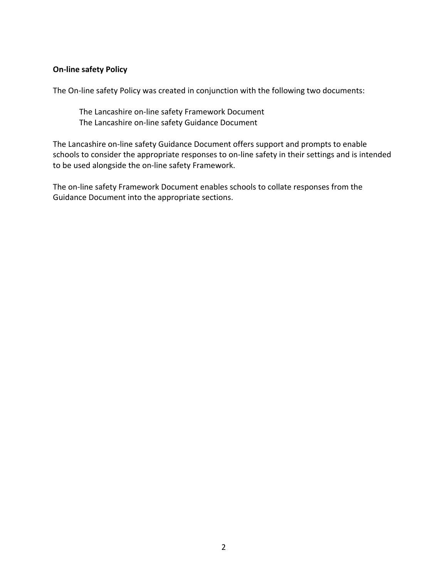#### **On-line safety Policy**

The On-line safety Policy was created in conjunction with the following two documents:

The Lancashire on-line safety Framework Document The Lancashire on-line safety Guidance Document

The Lancashire on-line safety Guidance Document offers support and prompts to enable schools to consider the appropriate responses to on-line safety in their settings and is intended to be used alongside the on-line safety Framework.

The on-line safety Framework Document enables schools to collate responses from the Guidance Document into the appropriate sections.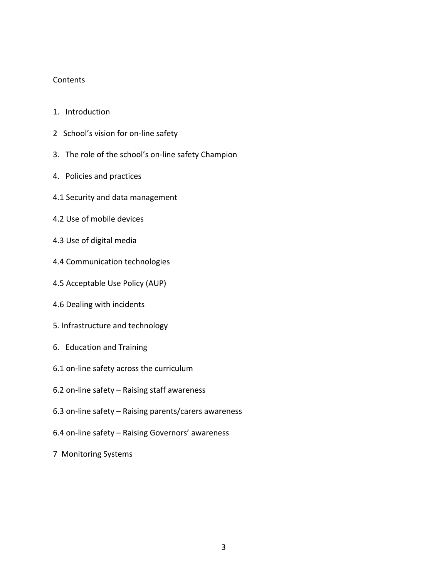#### **Contents**

- 1. Introduction
- 2 School's vision for on-line safety
- 3. The role of the school's on-line safety Champion
- 4. Policies and practices
- 4.1 Security and data management
- 4.2 Use of mobile devices
- 4.3 Use of digital media
- 4.4 Communication technologies
- 4.5 Acceptable Use Policy (AUP)
- 4.6 Dealing with incidents
- 5. Infrastructure and technology
- 6. Education and Training
- 6.1 on-line safety across the curriculum
- 6.2 on-line safety Raising staff awareness
- 6.3 on-line safety Raising parents/carers awareness
- 6.4 on-line safety Raising Governors' awareness
- 7 Monitoring Systems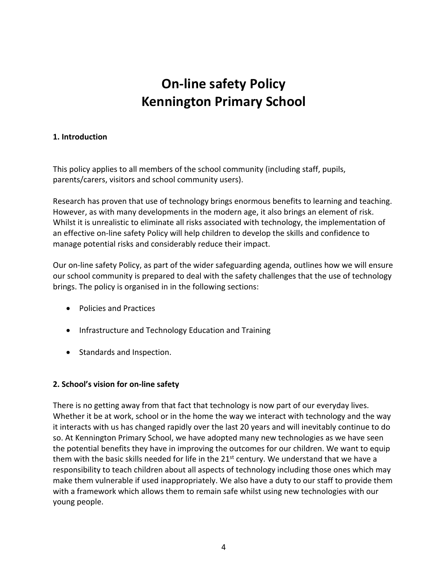## **On-line safety Policy Kennington Primary School**

#### **1. Introduction**

This policy applies to all members of the school community (including staff, pupils, parents/carers, visitors and school community users).

Research has proven that use of technology brings enormous benefits to learning and teaching. However, as with many developments in the modern age, it also brings an element of risk. Whilst it is unrealistic to eliminate all risks associated with technology, the implementation of an effective on-line safety Policy will help children to develop the skills and confidence to manage potential risks and considerably reduce their impact.

Our on-line safety Policy, as part of the wider safeguarding agenda, outlines how we will ensure our school community is prepared to deal with the safety challenges that the use of technology brings. The policy is organised in in the following sections:

- Policies and Practices
- Infrastructure and Technology Education and Training
- Standards and Inspection.

#### **2. School's vision for on-line safety**

There is no getting away from that fact that technology is now part of our everyday lives. Whether it be at work, school or in the home the way we interact with technology and the way it interacts with us has changed rapidly over the last 20 years and will inevitably continue to do so. At Kennington Primary School, we have adopted many new technologies as we have seen the potential benefits they have in improving the outcomes for our children. We want to equip them with the basic skills needed for life in the  $21<sup>st</sup>$  century. We understand that we have a responsibility to teach children about all aspects of technology including those ones which may make them vulnerable if used inappropriately. We also have a duty to our staff to provide them with a framework which allows them to remain safe whilst using new technologies with our young people.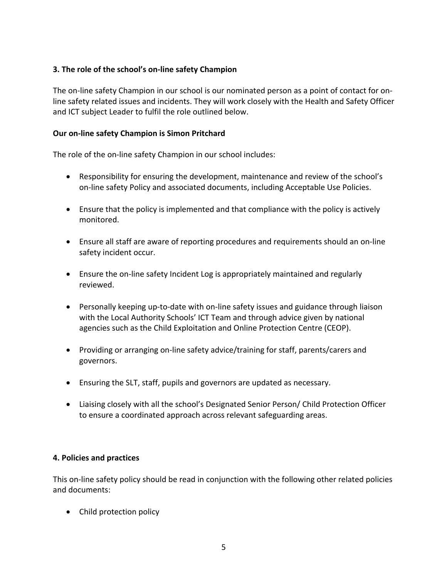#### **3. The role of the school's on-line safety Champion**

The on-line safety Champion in our school is our nominated person as a point of contact for online safety related issues and incidents. They will work closely with the Health and Safety Officer and ICT subject Leader to fulfil the role outlined below.

#### **Our on-line safety Champion is Simon Pritchard**

The role of the on-line safety Champion in our school includes:

- Responsibility for ensuring the development, maintenance and review of the school's on-line safety Policy and associated documents, including Acceptable Use Policies.
- Ensure that the policy is implemented and that compliance with the policy is actively monitored.
- Ensure all staff are aware of reporting procedures and requirements should an on-line safety incident occur.
- Ensure the on-line safety Incident Log is appropriately maintained and regularly reviewed.
- Personally keeping up-to-date with on-line safety issues and guidance through liaison with the Local Authority Schools' ICT Team and through advice given by national agencies such as the Child Exploitation and Online Protection Centre (CEOP).
- Providing or arranging on-line safety advice/training for staff, parents/carers and governors.
- Ensuring the SLT, staff, pupils and governors are updated as necessary.
- Liaising closely with all the school's Designated Senior Person/ Child Protection Officer to ensure a coordinated approach across relevant safeguarding areas.

#### **4. Policies and practices**

This on-line safety policy should be read in conjunction with the following other related policies and documents:

• Child protection policy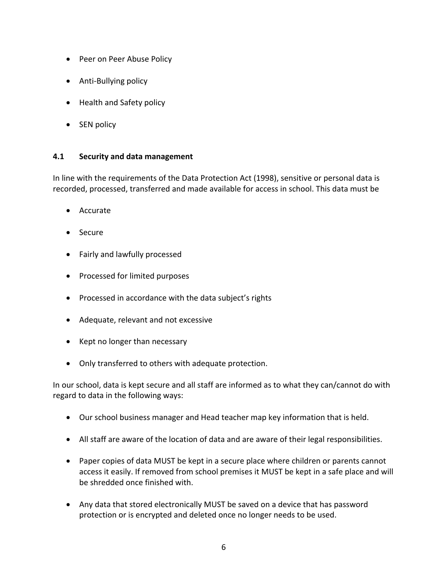- Peer on Peer Abuse Policy
- Anti-Bullying policy
- Health and Safety policy
- SEN policy

#### **4.1 Security and data management**

In line with the requirements of the Data Protection Act (1998), sensitive or personal data is recorded, processed, transferred and made available for access in school. This data must be

- Accurate
- Secure
- Fairly and lawfully processed
- Processed for limited purposes
- Processed in accordance with the data subject's rights
- Adequate, relevant and not excessive
- Kept no longer than necessary
- Only transferred to others with adequate protection.

In our school, data is kept secure and all staff are informed as to what they can/cannot do with regard to data in the following ways:

- Our school business manager and Head teacher map key information that is held.
- All staff are aware of the location of data and are aware of their legal responsibilities.
- Paper copies of data MUST be kept in a secure place where children or parents cannot access it easily. If removed from school premises it MUST be kept in a safe place and will be shredded once finished with.
- Any data that stored electronically MUST be saved on a device that has password protection or is encrypted and deleted once no longer needs to be used.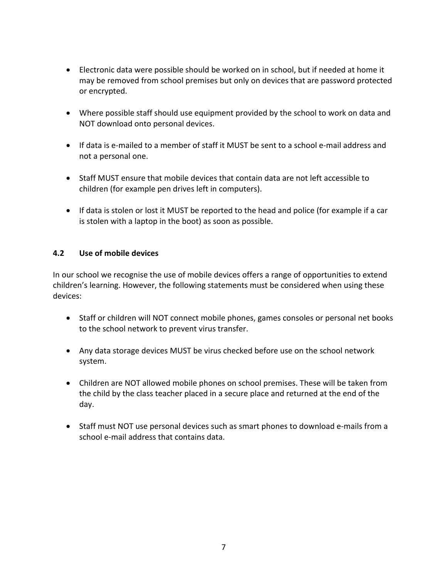- Electronic data were possible should be worked on in school, but if needed at home it may be removed from school premises but only on devices that are password protected or encrypted.
- Where possible staff should use equipment provided by the school to work on data and NOT download onto personal devices.
- If data is e-mailed to a member of staff it MUST be sent to a school e-mail address and not a personal one.
- Staff MUST ensure that mobile devices that contain data are not left accessible to children (for example pen drives left in computers).
- If data is stolen or lost it MUST be reported to the head and police (for example if a car is stolen with a laptop in the boot) as soon as possible.

#### **4.2 Use of mobile devices**

In our school we recognise the use of mobile devices offers a range of opportunities to extend children's learning. However, the following statements must be considered when using these devices:

- Staff or children will NOT connect mobile phones, games consoles or personal net books to the school network to prevent virus transfer.
- Any data storage devices MUST be virus checked before use on the school network system.
- Children are NOT allowed mobile phones on school premises. These will be taken from the child by the class teacher placed in a secure place and returned at the end of the day.
- Staff must NOT use personal devices such as smart phones to download e-mails from a school e-mail address that contains data.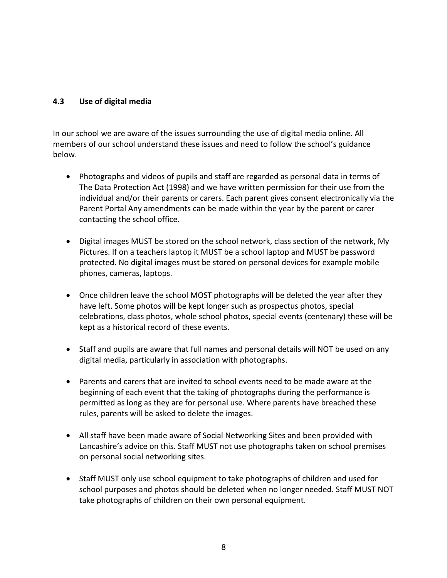#### **4.3 Use of digital media**

In our school we are aware of the issues surrounding the use of digital media online. All members of our school understand these issues and need to follow the school's guidance below.

- Photographs and videos of pupils and staff are regarded as personal data in terms of The Data Protection Act (1998) and we have written permission for their use from the individual and/or their parents or carers. Each parent gives consent electronically via the Parent Portal Any amendments can be made within the year by the parent or carer contacting the school office.
- Digital images MUST be stored on the school network, class section of the network, My Pictures. If on a teachers laptop it MUST be a school laptop and MUST be password protected. No digital images must be stored on personal devices for example mobile phones, cameras, laptops.
- Once children leave the school MOST photographs will be deleted the year after they have left. Some photos will be kept longer such as prospectus photos, special celebrations, class photos, whole school photos, special events (centenary) these will be kept as a historical record of these events.
- Staff and pupils are aware that full names and personal details will NOT be used on any digital media, particularly in association with photographs.
- Parents and carers that are invited to school events need to be made aware at the beginning of each event that the taking of photographs during the performance is permitted as long as they are for personal use. Where parents have breached these rules, parents will be asked to delete the images.
- All staff have been made aware of Social Networking Sites and been provided with Lancashire's advice on this. Staff MUST not use photographs taken on school premises on personal social networking sites.
- Staff MUST only use school equipment to take photographs of children and used for school purposes and photos should be deleted when no longer needed. Staff MUST NOT take photographs of children on their own personal equipment.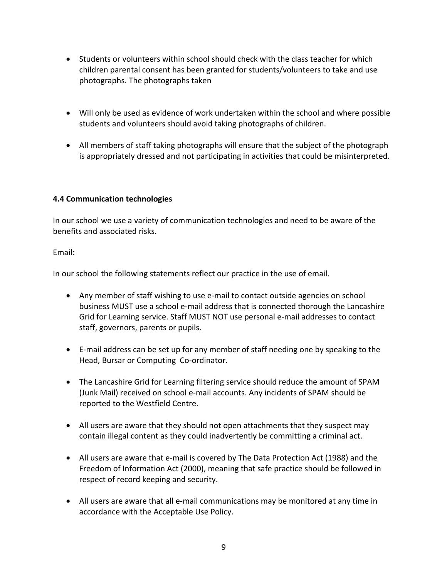- Students or volunteers within school should check with the class teacher for which children parental consent has been granted for students/volunteers to take and use photographs. The photographs taken
- Will only be used as evidence of work undertaken within the school and where possible students and volunteers should avoid taking photographs of children.
- All members of staff taking photographs will ensure that the subject of the photograph is appropriately dressed and not participating in activities that could be misinterpreted.

#### **4.4 Communication technologies**

In our school we use a variety of communication technologies and need to be aware of the benefits and associated risks.

Email:

In our school the following statements reflect our practice in the use of email.

- Any member of staff wishing to use e-mail to contact outside agencies on school business MUST use a school e-mail address that is connected thorough the Lancashire Grid for Learning service. Staff MUST NOT use personal e-mail addresses to contact staff, governors, parents or pupils.
- E-mail address can be set up for any member of staff needing one by speaking to the Head, Bursar or Computing Co-ordinator.
- The Lancashire Grid for Learning filtering service should reduce the amount of SPAM (Junk Mail) received on school e-mail accounts. Any incidents of SPAM should be reported to the Westfield Centre.
- All users are aware that they should not open attachments that they suspect may contain illegal content as they could inadvertently be committing a criminal act.
- All users are aware that e-mail is covered by The Data Protection Act (1988) and the Freedom of Information Act (2000), meaning that safe practice should be followed in respect of record keeping and security.
- All users are aware that all e-mail communications may be monitored at any time in accordance with the Acceptable Use Policy.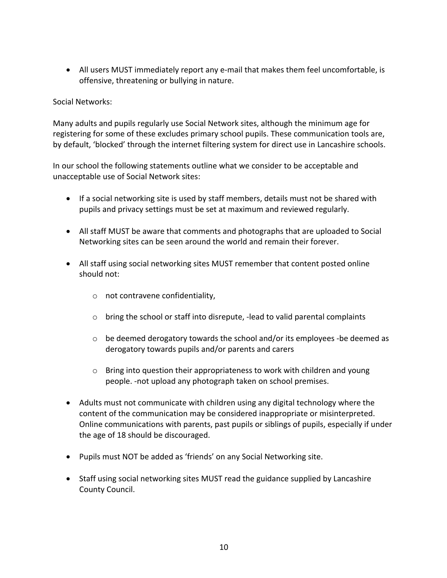• All users MUST immediately report any e-mail that makes them feel uncomfortable, is offensive, threatening or bullying in nature.

#### Social Networks:

Many adults and pupils regularly use Social Network sites, although the minimum age for registering for some of these excludes primary school pupils. These communication tools are, by default, 'blocked' through the internet filtering system for direct use in Lancashire schools.

In our school the following statements outline what we consider to be acceptable and unacceptable use of Social Network sites:

- If a social networking site is used by staff members, details must not be shared with pupils and privacy settings must be set at maximum and reviewed regularly.
- All staff MUST be aware that comments and photographs that are uploaded to Social Networking sites can be seen around the world and remain their forever.
- All staff using social networking sites MUST remember that content posted online should not:
	- o not contravene confidentiality,
	- o bring the school or staff into disrepute, -lead to valid parental complaints
	- $\circ$  be deemed derogatory towards the school and/or its employees -be deemed as derogatory towards pupils and/or parents and carers
	- $\circ$  Bring into question their appropriateness to work with children and young people. -not upload any photograph taken on school premises.
- Adults must not communicate with children using any digital technology where the content of the communication may be considered inappropriate or misinterpreted. Online communications with parents, past pupils or siblings of pupils, especially if under the age of 18 should be discouraged.
- Pupils must NOT be added as 'friends' on any Social Networking site.
- Staff using social networking sites MUST read the guidance supplied by Lancashire County Council.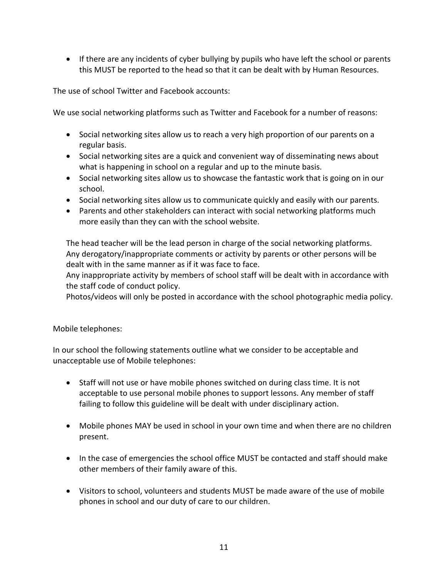• If there are any incidents of cyber bullying by pupils who have left the school or parents this MUST be reported to the head so that it can be dealt with by Human Resources.

The use of school Twitter and Facebook accounts:

We use social networking platforms such as Twitter and Facebook for a number of reasons:

- Social networking sites allow us to reach a very high proportion of our parents on a regular basis.
- Social networking sites are a quick and convenient way of disseminating news about what is happening in school on a regular and up to the minute basis.
- Social networking sites allow us to showcase the fantastic work that is going on in our school.
- Social networking sites allow us to communicate quickly and easily with our parents.
- Parents and other stakeholders can interact with social networking platforms much more easily than they can with the school website.

The head teacher will be the lead person in charge of the social networking platforms. Any derogatory/inappropriate comments or activity by parents or other persons will be dealt with in the same manner as if it was face to face.

Any inappropriate activity by members of school staff will be dealt with in accordance with the staff code of conduct policy.

Photos/videos will only be posted in accordance with the school photographic media policy.

#### Mobile telephones:

In our school the following statements outline what we consider to be acceptable and unacceptable use of Mobile telephones:

- Staff will not use or have mobile phones switched on during class time. It is not acceptable to use personal mobile phones to support lessons. Any member of staff failing to follow this guideline will be dealt with under disciplinary action.
- Mobile phones MAY be used in school in your own time and when there are no children present.
- In the case of emergencies the school office MUST be contacted and staff should make other members of their family aware of this.
- Visitors to school, volunteers and students MUST be made aware of the use of mobile phones in school and our duty of care to our children.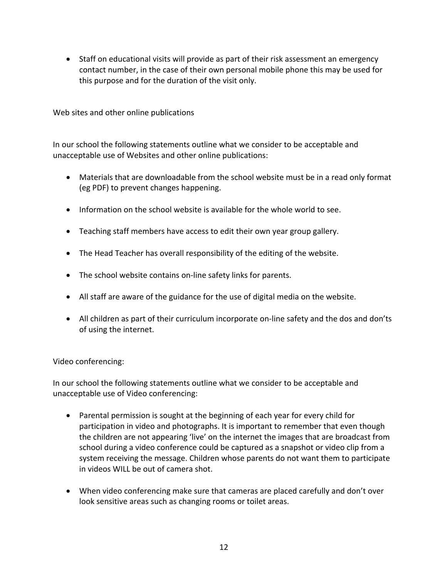• Staff on educational visits will provide as part of their risk assessment an emergency contact number, in the case of their own personal mobile phone this may be used for this purpose and for the duration of the visit only.

Web sites and other online publications

In our school the following statements outline what we consider to be acceptable and unacceptable use of Websites and other online publications:

- Materials that are downloadable from the school website must be in a read only format (eg PDF) to prevent changes happening.
- Information on the school website is available for the whole world to see.
- Teaching staff members have access to edit their own year group gallery.
- The Head Teacher has overall responsibility of the editing of the website.
- The school website contains on-line safety links for parents.
- All staff are aware of the guidance for the use of digital media on the website.
- All children as part of their curriculum incorporate on-line safety and the dos and don'ts of using the internet.

#### Video conferencing:

In our school the following statements outline what we consider to be acceptable and unacceptable use of Video conferencing:

- Parental permission is sought at the beginning of each year for every child for participation in video and photographs. It is important to remember that even though the children are not appearing 'live' on the internet the images that are broadcast from school during a video conference could be captured as a snapshot or video clip from a system receiving the message. Children whose parents do not want them to participate in videos WILL be out of camera shot.
- When video conferencing make sure that cameras are placed carefully and don't over look sensitive areas such as changing rooms or toilet areas.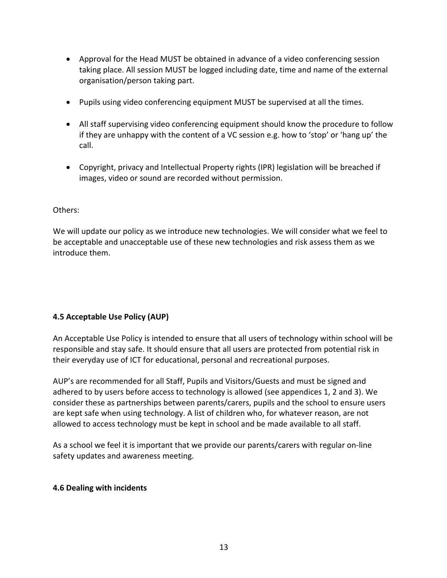- Approval for the Head MUST be obtained in advance of a video conferencing session taking place. All session MUST be logged including date, time and name of the external organisation/person taking part.
- Pupils using video conferencing equipment MUST be supervised at all the times.
- All staff supervising video conferencing equipment should know the procedure to follow if they are unhappy with the content of a VC session e.g. how to 'stop' or 'hang up' the call.
- Copyright, privacy and Intellectual Property rights (IPR) legislation will be breached if images, video or sound are recorded without permission.

#### Others:

We will update our policy as we introduce new technologies. We will consider what we feel to be acceptable and unacceptable use of these new technologies and risk assess them as we introduce them.

#### **4.5 Acceptable Use Policy (AUP)**

An Acceptable Use Policy is intended to ensure that all users of technology within school will be responsible and stay safe. It should ensure that all users are protected from potential risk in their everyday use of ICT for educational, personal and recreational purposes.

AUP's are recommended for all Staff, Pupils and Visitors/Guests and must be signed and adhered to by users before access to technology is allowed (see appendices 1, 2 and 3). We consider these as partnerships between parents/carers, pupils and the school to ensure users are kept safe when using technology. A list of children who, for whatever reason, are not allowed to access technology must be kept in school and be made available to all staff.

As a school we feel it is important that we provide our parents/carers with regular on-line safety updates and awareness meeting.

#### **4.6 Dealing with incidents**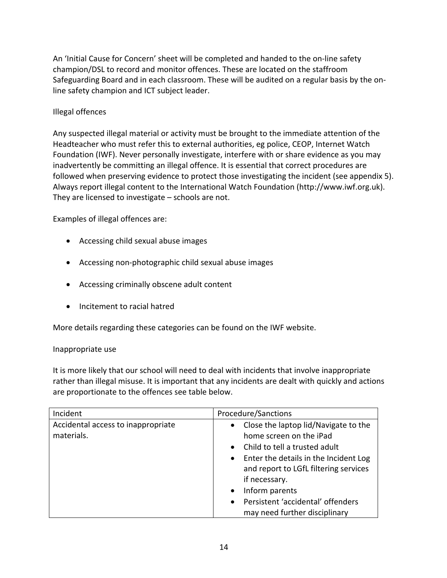An 'Initial Cause for Concern' sheet will be completed and handed to the on-line safety champion/DSL to record and monitor offences. These are located on the staffroom Safeguarding Board and in each classroom. These will be audited on a regular basis by the online safety champion and ICT subject leader.

#### Illegal offences

Any suspected illegal material or activity must be brought to the immediate attention of the Headteacher who must refer this to external authorities, eg police, CEOP, Internet Watch Foundation (IWF). Never personally investigate, interfere with or share evidence as you may inadvertently be committing an illegal offence. It is essential that correct procedures are followed when preserving evidence to protect those investigating the incident (see appendix 5). Always report illegal content to the International Watch Foundation (http://www.iwf.org.uk). They are licensed to investigate – schools are not.

Examples of illegal offences are:

- Accessing child sexual abuse images
- Accessing non-photographic child sexual abuse images
- Accessing criminally obscene adult content
- Incitement to racial hatred

More details regarding these categories can be found on the IWF website.

#### Inappropriate use

It is more likely that our school will need to deal with incidents that involve inappropriate rather than illegal misuse. It is important that any incidents are dealt with quickly and actions are proportionate to the offences see table below.

| Incident                                         | Procedure/Sanctions                                                                                                        |  |
|--------------------------------------------------|----------------------------------------------------------------------------------------------------------------------------|--|
| Accidental access to inappropriate<br>materials. | Close the laptop lid/Navigate to the<br>$\bullet$<br>home screen on the iPad<br>Child to tell a trusted adult<br>$\bullet$ |  |
|                                                  | Enter the details in the Incident Log<br>$\bullet$<br>and report to LGfL filtering services<br>if necessary.               |  |
|                                                  | Inform parents<br>$\bullet$                                                                                                |  |
|                                                  | Persistent 'accidental' offenders<br>$\bullet$<br>may need further disciplinary                                            |  |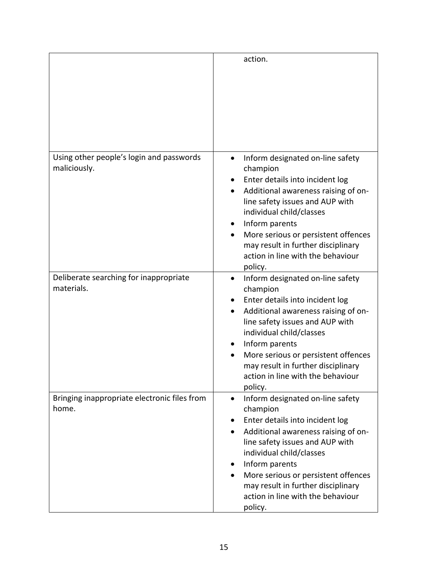|                                                          | action.                                                                                                                                                                                                                                                                                                                                                |
|----------------------------------------------------------|--------------------------------------------------------------------------------------------------------------------------------------------------------------------------------------------------------------------------------------------------------------------------------------------------------------------------------------------------------|
| Using other people's login and passwords<br>maliciously. | Inform designated on-line safety<br>$\bullet$<br>champion<br>Enter details into incident log<br>Additional awareness raising of on-<br>line safety issues and AUP with<br>individual child/classes<br>Inform parents<br>٠<br>More serious or persistent offences<br>may result in further disciplinary<br>action in line with the behaviour<br>policy. |
| Deliberate searching for inappropriate<br>materials.     | Inform designated on-line safety<br>٠<br>champion<br>Enter details into incident log<br>Additional awareness raising of on-<br>$\bullet$<br>line safety issues and AUP with<br>individual child/classes<br>Inform parents<br>More serious or persistent offences<br>may result in further disciplinary<br>action in line with the behaviour<br>policy. |
| Bringing inappropriate electronic files from<br>home.    | Inform designated on-line safety<br>champion<br>Enter details into incident log<br>Additional awareness raising of on-<br>line safety issues and AUP with<br>individual child/classes<br>Inform parents<br>More serious or persistent offences<br>may result in further disciplinary<br>action in line with the behaviour<br>policy.                   |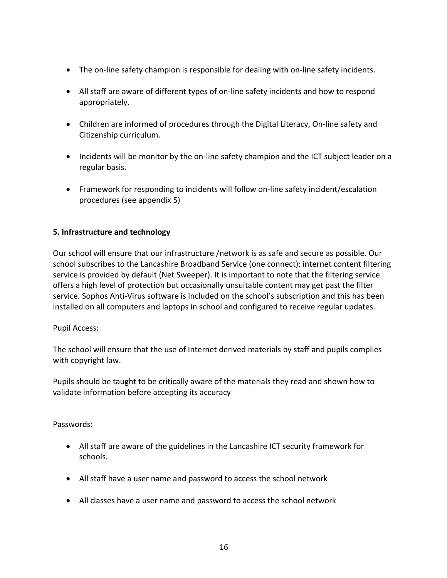- The on-line safety champion is responsible for dealing with on-line safety incidents.
- All staff are aware of different types of on-line safety incidents and how to respond appropriately.
- Children are informed of procedures through the Digital Literacy, On-line safety and Citizenship curriculum.
- Incidents will be monitor by the on-line safety champion and the ICT subject leader on a regular basis.
- Framework for responding to incidents will follow on-line safety incident/escalation procedures (see appendix 5)

#### **5. Infrastructure and technology**

Our school will ensure that our infrastructure /network is as safe and secure as possible. Our school subscribes to the Lancashire Broadband Service (one connect); internet content filtering service is provided by default (Net Sweeper). It is important to note that the filtering service offers a high level of protection but occasionally unsuitable content may get past the filter service. Sophos Anti-Virus software is included on the school's subscription and this has been installed on all computers and laptops in school and configured to receive regular updates.

#### Pupil Access:

The school will ensure that the use of Internet derived materials by staff and pupils complies with copyright law.

Pupils should be taught to be critically aware of the materials they read and shown how to validate information before accepting its accuracy

Passwords:

- All staff are aware of the guidelines in the Lancashire ICT security framework for schools.
- All staff have a user name and password to access the school network
- All classes have a user name and password to access the school network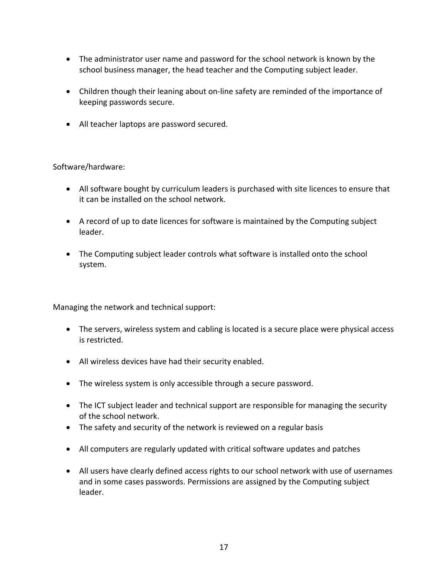- The administrator user name and password for the school network is known by the school business manager, the head teacher and the Computing subject leader.
- Children though their leaning about on-line safety are reminded of the importance of keeping passwords secure.
- All teacher laptops are password secured.

Software/hardware:

- All software bought by curriculum leaders is purchased with site licences to ensure that it can be installed on the school network.
- A record of up to date licences for software is maintained by the Computing subject leader.
- The Computing subject leader controls what software is installed onto the school system.

Managing the network and technical support:

- The servers, wireless system and cabling is located is a secure place were physical access is restricted.
- All wireless devices have had their security enabled.
- The wireless system is only accessible through a secure password.
- The ICT subject leader and technical support are responsible for managing the security of the school network.
- The safety and security of the network is reviewed on a regular basis
- All computers are regularly updated with critical software updates and patches
- All users have clearly defined access rights to our school network with use of usernames and in some cases passwords. Permissions are assigned by the Computing subject leader.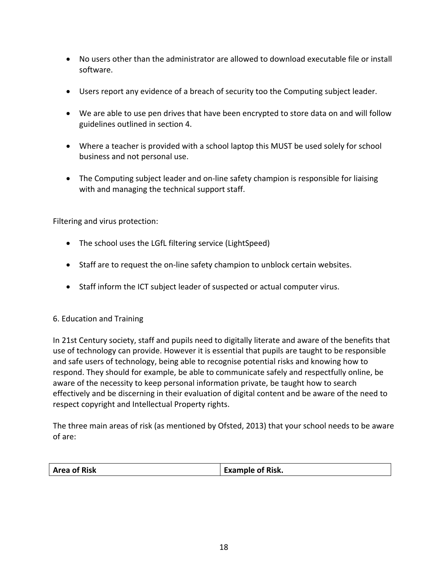- No users other than the administrator are allowed to download executable file or install software.
- Users report any evidence of a breach of security too the Computing subject leader.
- We are able to use pen drives that have been encrypted to store data on and will follow guidelines outlined in section 4.
- Where a teacher is provided with a school laptop this MUST be used solely for school business and not personal use.
- The Computing subject leader and on-line safety champion is responsible for liaising with and managing the technical support staff.

Filtering and virus protection:

- The school uses the LGfL filtering service (LightSpeed)
- Staff are to request the on-line safety champion to unblock certain websites.
- Staff inform the ICT subject leader of suspected or actual computer virus.

#### 6. Education and Training

In 21st Century society, staff and pupils need to digitally literate and aware of the benefits that use of technology can provide. However it is essential that pupils are taught to be responsible and safe users of technology, being able to recognise potential risks and knowing how to respond. They should for example, be able to communicate safely and respectfully online, be aware of the necessity to keep personal information private, be taught how to search effectively and be discerning in their evaluation of digital content and be aware of the need to respect copyright and Intellectual Property rights.

The three main areas of risk (as mentioned by Ofsted, 2013) that your school needs to be aware of are:

|  | <b>Area of Risk</b><br><b>Example of Risk.</b> |  |
|--|------------------------------------------------|--|
|--|------------------------------------------------|--|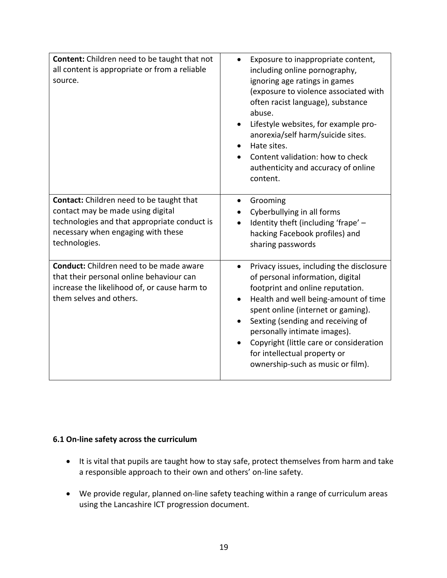| <b>Content:</b> Children need to be taught that not<br>all content is appropriate or from a reliable<br>source.                                                                             | Exposure to inappropriate content,<br>including online pornography,<br>ignoring age ratings in games<br>(exposure to violence associated with<br>often racist language), substance<br>abuse.<br>Lifestyle websites, for example pro-<br>$\bullet$<br>anorexia/self harm/suicide sites.<br>Hate sites.<br>$\bullet$<br>Content validation: how to check<br>authenticity and accuracy of online<br>content.     |
|---------------------------------------------------------------------------------------------------------------------------------------------------------------------------------------------|---------------------------------------------------------------------------------------------------------------------------------------------------------------------------------------------------------------------------------------------------------------------------------------------------------------------------------------------------------------------------------------------------------------|
| <b>Contact:</b> Children need to be taught that<br>contact may be made using digital<br>technologies and that appropriate conduct is<br>necessary when engaging with these<br>technologies. | Grooming<br>٠<br>Cyberbullying in all forms<br>Identity theft (including 'frape' -<br>hacking Facebook profiles) and<br>sharing passwords                                                                                                                                                                                                                                                                     |
| Conduct: Children need to be made aware<br>that their personal online behaviour can<br>increase the likelihood of, or cause harm to<br>them selves and others.                              | Privacy issues, including the disclosure<br>of personal information, digital<br>footprint and online reputation.<br>Health and well being-amount of time<br>$\bullet$<br>spent online (internet or gaming).<br>Sexting (sending and receiving of<br>$\bullet$<br>personally intimate images).<br>Copyright (little care or consideration<br>for intellectual property or<br>ownership-such as music or film). |

#### **6.1 On-line safety across the curriculum**

- It is vital that pupils are taught how to stay safe, protect themselves from harm and take a responsible approach to their own and others' on-line safety.
- We provide regular, planned on-line safety teaching within a range of curriculum areas using the Lancashire ICT progression document.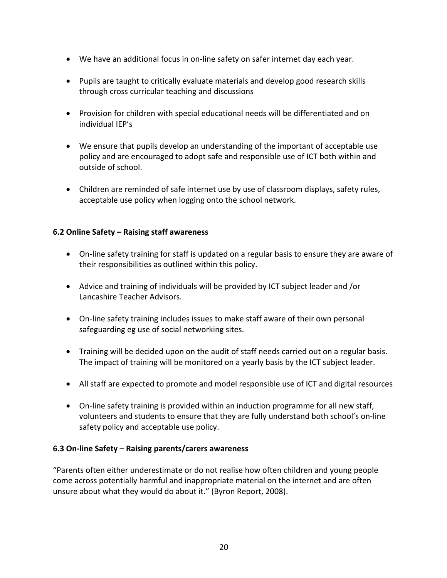- We have an additional focus in on-line safety on safer internet day each year.
- Pupils are taught to critically evaluate materials and develop good research skills through cross curricular teaching and discussions
- Provision for children with special educational needs will be differentiated and on individual IEP's
- We ensure that pupils develop an understanding of the important of acceptable use policy and are encouraged to adopt safe and responsible use of ICT both within and outside of school.
- Children are reminded of safe internet use by use of classroom displays, safety rules, acceptable use policy when logging onto the school network.

#### **6.2 Online Safety – Raising staff awareness**

- On-line safety training for staff is updated on a regular basis to ensure they are aware of their responsibilities as outlined within this policy.
- Advice and training of individuals will be provided by ICT subject leader and /or Lancashire Teacher Advisors.
- On-line safety training includes issues to make staff aware of their own personal safeguarding eg use of social networking sites.
- Training will be decided upon on the audit of staff needs carried out on a regular basis. The impact of training will be monitored on a yearly basis by the ICT subject leader.
- All staff are expected to promote and model responsible use of ICT and digital resources
- On-line safety training is provided within an induction programme for all new staff, volunteers and students to ensure that they are fully understand both school's on-line safety policy and acceptable use policy.

#### **6.3 On-line Safety – Raising parents/carers awareness**

"Parents often either underestimate or do not realise how often children and young people come across potentially harmful and inappropriate material on the internet and are often unsure about what they would do about it." (Byron Report, 2008).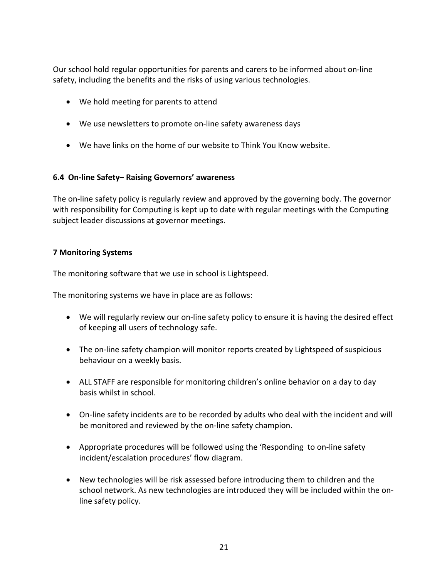Our school hold regular opportunities for parents and carers to be informed about on-line safety, including the benefits and the risks of using various technologies.

- We hold meeting for parents to attend
- We use newsletters to promote on-line safety awareness days
- We have links on the home of our website to Think You Know website.

#### **6.4 On-line Safety– Raising Governors' awareness**

The on-line safety policy is regularly review and approved by the governing body. The governor with responsibility for Computing is kept up to date with regular meetings with the Computing subject leader discussions at governor meetings.

#### **7 Monitoring Systems**

The monitoring software that we use in school is Lightspeed.

The monitoring systems we have in place are as follows:

- We will regularly review our on-line safety policy to ensure it is having the desired effect of keeping all users of technology safe.
- The on-line safety champion will monitor reports created by Lightspeed of suspicious behaviour on a weekly basis.
- ALL STAFF are responsible for monitoring children's online behavior on a day to day basis whilst in school.
- On-line safety incidents are to be recorded by adults who deal with the incident and will be monitored and reviewed by the on-line safety champion.
- Appropriate procedures will be followed using the 'Responding to on-line safety incident/escalation procedures' flow diagram.
- New technologies will be risk assessed before introducing them to children and the school network. As new technologies are introduced they will be included within the online safety policy.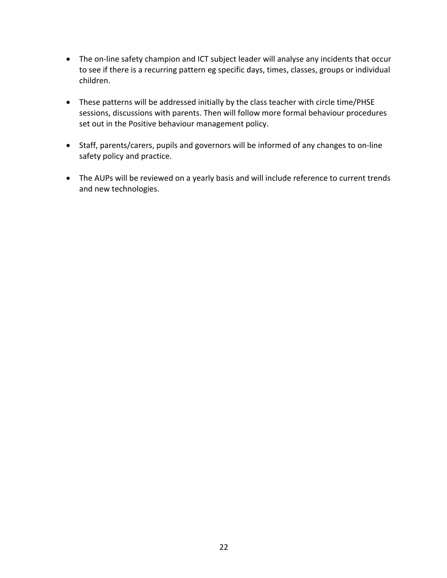- The on-line safety champion and ICT subject leader will analyse any incidents that occur to see if there is a recurring pattern eg specific days, times, classes, groups or individual children.
- These patterns will be addressed initially by the class teacher with circle time/PHSE sessions, discussions with parents. Then will follow more formal behaviour procedures set out in the Positive behaviour management policy.
- Staff, parents/carers, pupils and governors will be informed of any changes to on-line safety policy and practice.
- The AUPs will be reviewed on a yearly basis and will include reference to current trends and new technologies.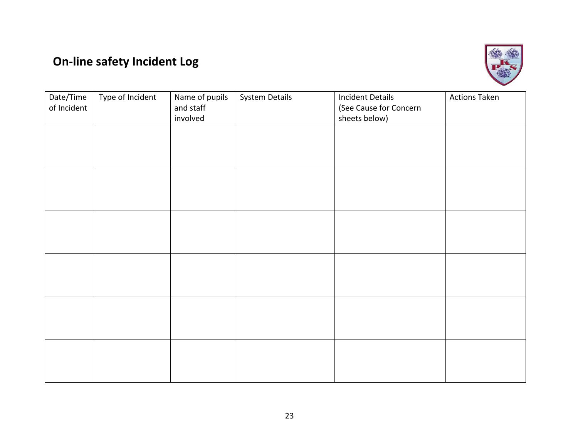### **On-line safety Incident Log**



| Date/Time<br>of Incident | Type of Incident | Name of pupils<br>and staff<br>involved | <b>System Details</b> | <b>Incident Details</b><br>(See Cause for Concern<br>sheets below) | <b>Actions Taken</b> |
|--------------------------|------------------|-----------------------------------------|-----------------------|--------------------------------------------------------------------|----------------------|
|                          |                  |                                         |                       |                                                                    |                      |
|                          |                  |                                         |                       |                                                                    |                      |
|                          |                  |                                         |                       |                                                                    |                      |
|                          |                  |                                         |                       |                                                                    |                      |
|                          |                  |                                         |                       |                                                                    |                      |
|                          |                  |                                         |                       |                                                                    |                      |
|                          |                  |                                         |                       |                                                                    |                      |
|                          |                  |                                         |                       |                                                                    |                      |